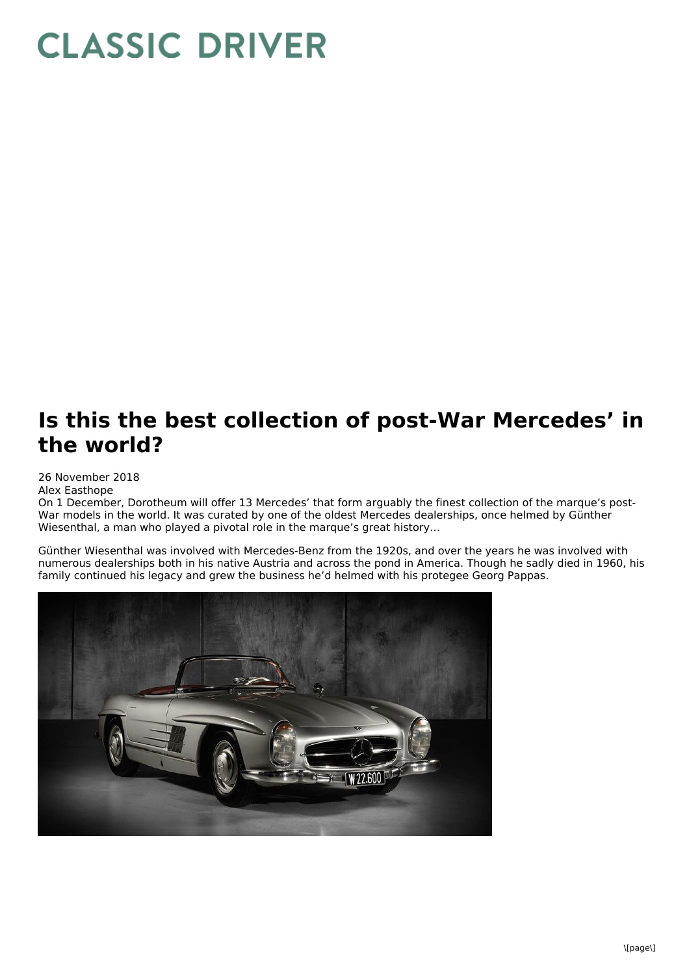## **CLASSIC DRIVER**

## **Is this the best collection of post-War Mercedes' in the world?**

## 26 November 2018

Alex Easthope

On 1 December, Dorotheum will offer 13 Mercedes' that form arguably the finest collection of the marque's post- War models in the world. It was curated by one of the oldest Mercedes dealerships, once helmed by Günther Wiesenthal, a man who played a pivotal role in the marque's great history…

Günther Wiesenthal was involved with Mercedes-Benz from the 1920s, and over the years he was involved with numerous dealerships both in his native Austria and across the pond in America. Though he sadly died in 1960, his family continued his legacy and grew the business he'd helmed with his protegee Georg Pappas.